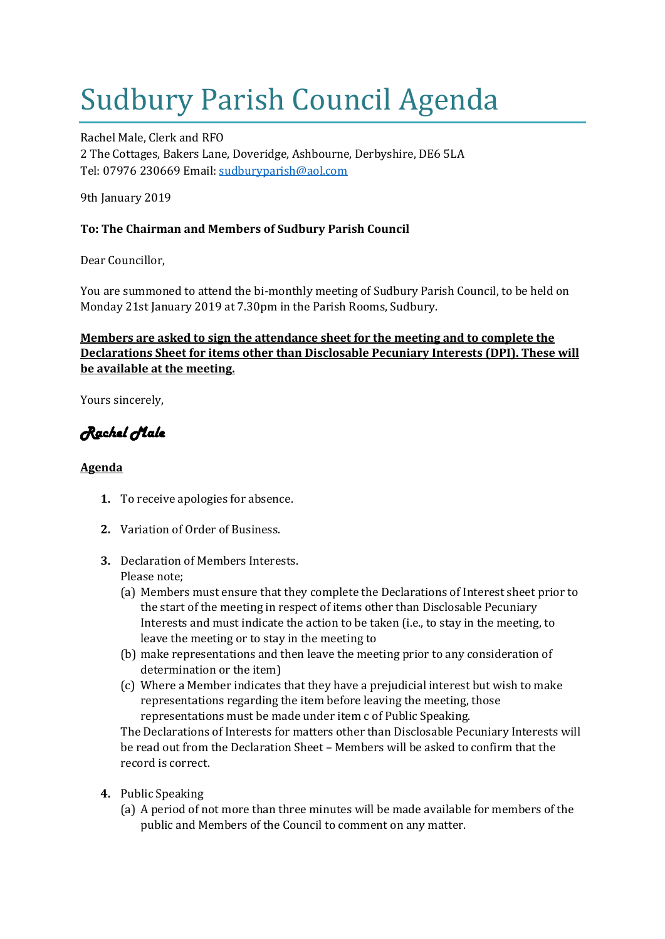# Sudbury Parish Council Agenda

Rachel Male, Clerk and RFO 2 The Cottages, Bakers Lane, Doveridge, Ashbourne, Derbyshire, DE6 5LA Tel: 07976 230669 Email: [sudburyparish@aol.com](mailto:sudburyparish@aol.com)

9th January 2019

## **To: The Chairman and Members of Sudbury Parish Council**

Dear Councillor,

You are summoned to attend the bi-monthly meeting of Sudbury Parish Council, to be held on Monday 21st January 2019 at 7.30pm in the Parish Rooms, Sudbury.

## **Members are asked to sign the attendance sheet for the meeting and to complete the Declarations Sheet for items other than Disclosable Pecuniary Interests (DPI). These will be available at the meeting.**

Yours sincerely,

## *Rachel Male*

## **Agenda**

- **1.** To receive apologies for absence.
- **2.** Variation of Order of Business.
- **3.** Declaration of Members Interests. Please note;
	- (a) Members must ensure that they complete the Declarations of Interest sheet prior to the start of the meeting in respect of items other than Disclosable Pecuniary Interests and must indicate the action to be taken (i.e., to stay in the meeting, to leave the meeting or to stay in the meeting to
	- (b) make representations and then leave the meeting prior to any consideration of determination or the item)
	- (c) Where a Member indicates that they have a prejudicial interest but wish to make representations regarding the item before leaving the meeting, those representations must be made under item c of Public Speaking.

The Declarations of Interests for matters other than Disclosable Pecuniary Interests will be read out from the Declaration Sheet – Members will be asked to confirm that the record is correct.

- **4.** Public Speaking
	- (a) A period of not more than three minutes will be made available for members of the public and Members of the Council to comment on any matter.